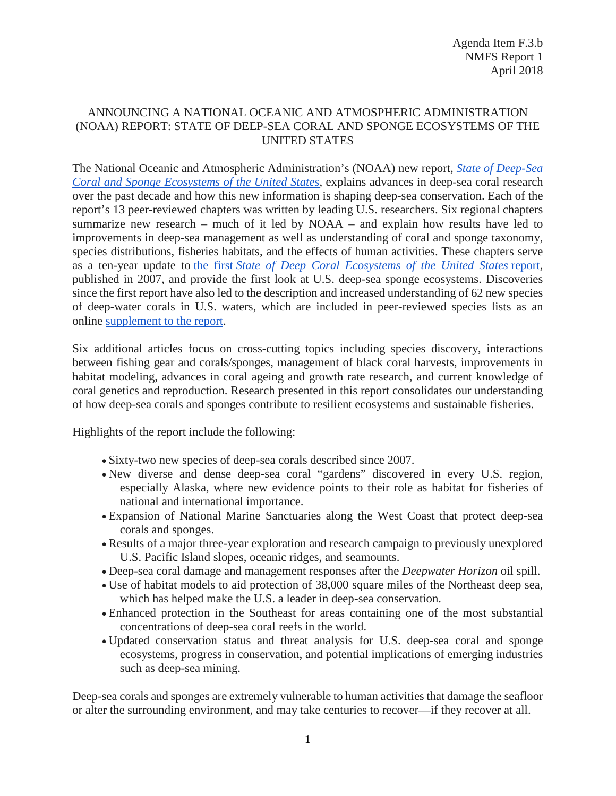## ANNOUNCING A NATIONAL OCEANIC AND ATMOSPHERIC ADMINISTRATION (NOAA) REPORT: STATE OF DEEP-SEA CORAL AND SPONGE ECOSYSTEMS OF THE UNITED STATES

The National Oceanic and Atmospheric Administration's (NOAA) new report, *[State of Deep-Sea](https://deepseacoraldata.noaa.gov/library/2017-state-of-deep-sea-corals-report)  [Coral and Sponge Ecosystems of the United States](https://deepseacoraldata.noaa.gov/library/2017-state-of-deep-sea-corals-report)*, explains advances in deep-sea coral research over the past decade and how this new information is shaping deep-sea conservation. Each of the report's 13 peer-reviewed chapters was written by leading U.S. researchers. Six regional chapters summarize new research – much of it led by NOAA – and explain how results have led to improvements in deep-sea management as well as understanding of coral and sponge taxonomy, species distributions, fisheries habitats, and the effects of human activities. These chapters serve as a ten-year update to the first *[State of Deep Coral Ecosystems of the United States](https://deepseacoraldata.noaa.gov/library/2007-dsc-status-report)* report, published in 2007, and provide the first look at U.S. deep-sea sponge ecosystems. Discoveries since the first report have also led to the description and increased understanding of 62 new species of deep-water corals in U.S. waters, which are included in peer-reviewed species lists as an online [supplement to the report.](https://deepseacoraldata.noaa.gov/library/2017-state-of-deep-sea-corals-report)

Six additional articles focus on cross-cutting topics including species discovery, interactions between fishing gear and corals/sponges, management of black coral harvests, improvements in habitat modeling, advances in coral ageing and growth rate research, and current knowledge of coral genetics and reproduction. Research presented in this report consolidates our understanding of how deep-sea corals and sponges contribute to resilient ecosystems and sustainable fisheries.

Highlights of the report include the following:

- Sixty-two new species of deep-sea corals described since 2007.
- New diverse and dense deep-sea coral "gardens" discovered in every U.S. region, especially Alaska, where new evidence points to their role as habitat for fisheries of national and international importance.
- Expansion of National Marine Sanctuaries along the West Coast that protect deep-sea corals and sponges.
- Results of a major three-year exploration and research campaign to previously unexplored U.S. Pacific Island slopes, oceanic ridges, and seamounts.
- Deep-sea coral damage and management responses after the *Deepwater Horizon* oil spill.
- Use of habitat models to aid protection of 38,000 square miles of the Northeast deep sea, which has helped make the U.S. a leader in deep-sea conservation.
- Enhanced protection in the Southeast for areas containing one of the most substantial concentrations of deep-sea coral reefs in the world.
- Updated conservation status and threat analysis for U.S. deep-sea coral and sponge ecosystems, progress in conservation, and potential implications of emerging industries such as deep-sea mining.

Deep-sea corals and sponges are extremely vulnerable to human activities that damage the seafloor or alter the surrounding environment, and may take centuries to recover—if they recover at all.